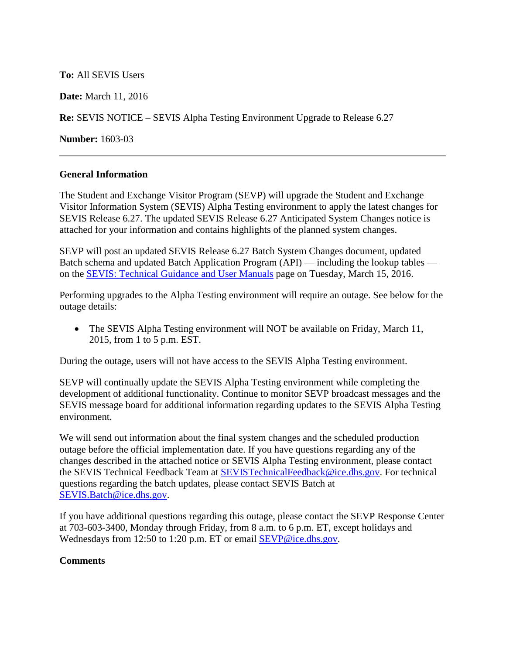**To:** All SEVIS Users

**Date:** March 11, 2016

**Re:** SEVIS NOTICE – SEVIS Alpha Testing Environment Upgrade to Release 6.27

**Number:** 1603-03

## **General Information**

The Student and Exchange Visitor Program (SEVP) will upgrade the Student and Exchange Visitor Information System (SEVIS) Alpha Testing environment to apply the latest changes for SEVIS Release 6.27. The updated SEVIS Release 6.27 Anticipated System Changes notice is attached for your information and contains highlights of the planned system changes.

SEVP will post an updated SEVIS Release 6.27 Batch System Changes document, updated Batch schema and updated Batch Application Program (API) — including the lookup tables on the [SEVIS: Technical Guidance and User Manuals](https://www.ice.gov/sevis/schools/sevis#tab1) page on Tuesday, March 15, 2016.

Performing upgrades to the Alpha Testing environment will require an outage. See below for the outage details:

• The SEVIS Alpha Testing environment will NOT be available on Friday, March 11, 2015, from 1 to 5 p.m. EST.

During the outage, users will not have access to the SEVIS Alpha Testing environment.

SEVP will continually update the SEVIS Alpha Testing environment while completing the development of additional functionality. Continue to monitor SEVP broadcast messages and the SEVIS message board for additional information regarding updates to the SEVIS Alpha Testing environment.

We will send out information about the final system changes and the scheduled production outage before the official implementation date. If you have questions regarding any of the changes described in the attached notice or SEVIS Alpha Testing environment, please contact the SEVIS Technical Feedback Team at SEVISTechnicalFeedback@ice.dhs.gov. For technical questions regarding the batch updates, please contact SEVIS Batch at [SEVIS.Batch@ice.dhs.gov.](mailto:SEVIS.Batch@ice.dhs.gov)

If you have additional questions regarding this outage, please contact the SEVP Response Center at 703-603-3400, Monday through Friday, from 8 a.m. to 6 p.m. ET, except holidays and Wednesdays from 12:50 to 1:20 p.m. ET or email [SEVP@ice.dhs.gov.](mailto:SEVP@ice.dhs.gov)

## **Comments**